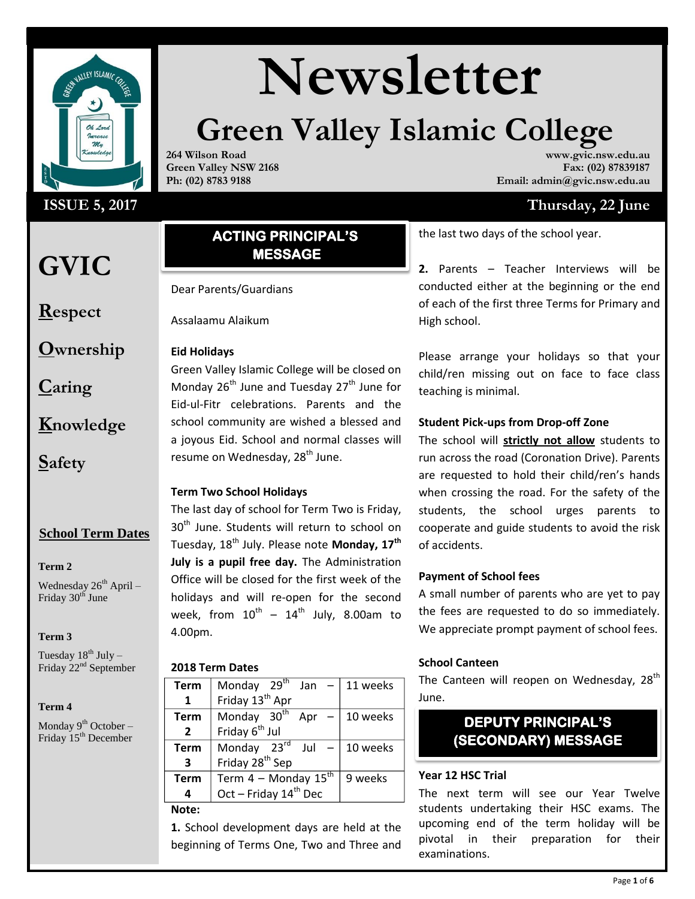

# **ISSUE 5, 2017**

# **GVIC**

**Respect**

**Ownership**

**Caring**

**Knowledge**

**Safety**

# **School Term Dates**

#### **Term 2**

Wednesday  $26<sup>th</sup>$  April – Friday 30<sup>th</sup> June

# **Term 3**

Tuesday  $18^{th}$  July – Friday 22<sup>nd</sup> September

#### **Term 4**

Monday 9<sup>th</sup> October – Friday 15<sup>th</sup> December

# Wewsletter

# **Green Valley Islamic College**

**264 Wilson Road Green Valley NSW 2168 Ph: (02) 8783 9188**

**www.gvic.nsw.edu.au Fax: (02) 87839187 Email: admin@gvic.nsw.edu.au**

# **ISSUE 5, 2017 Thursday, 22 June**

**ACTING PRINCIPAL'S MESSAGE** 

Dear Parents/Guardians

Assalaamu Alaikum

# **Eid Holidays**

Green Valley Islamic College will be closed on Monday  $26^{th}$  June and Tuesday  $27^{th}$  June for Eid-ul-Fitr celebrations. Parents and the school community are wished a blessed and a joyous Eid. School and normal classes will resume on Wednesday, 28<sup>th</sup> June.

# **Term Two School Holidays**

The last day of school for Term Two is Friday, 30<sup>th</sup> June. Students will return to school on Tuesday, 18th July. Please note **Monday, 17th July is a pupil free day.** The Administration Office will be closed for the first week of the holidays and will re-open for the second week, from  $10^{\text{th}} - 14^{\text{th}}$  July, 8.00am to 4.00pm.

# **2018 Term Dates**

| <b>Term</b>    | Monday 29 <sup>th</sup><br>Jan    | 11 weeks |
|----------------|-----------------------------------|----------|
| 1              | Friday 13 <sup>th</sup> Apr       |          |
| <b>Term</b>    | Monday 30 <sup>th</sup> Apr       | 10 weeks |
| $\overline{2}$ | Friday 6 <sup>th</sup> Jul        |          |
| <b>Term</b>    | Monday 23rd Jul                   | 10 weeks |
| 3              | Friday 28 <sup>th</sup> Sep       |          |
| <b>Term</b>    | Term $4 -$ Monday $15^{th}$       | 9 weeks  |
| 4              | Oct - Friday 14 <sup>th</sup> Dec |          |
|                |                                   |          |

# **Note:**

**1.** School development days are held at the beginning of Terms One, Two and Three and the last two days of the school year.

**2.** Parents – Teacher Interviews will be conducted either at the beginning or the end of each of the first three Terms for Primary and High school.

Please arrange your holidays so that your child/ren missing out on face to face class teaching is minimal.

# **Student Pick-ups from Drop-off Zone**

The school will **strictly not allow** students to run across the road (Coronation Drive). Parents are requested to hold their child/ren's hands when crossing the road. For the safety of the students, the school urges parents to cooperate and guide students to avoid the risk of accidents.

# **Payment of School fees**

A small number of parents who are yet to pay the fees are requested to do so immediately. We appreciate prompt payment of school fees.

# **School Canteen**

The Canteen will reopen on Wednesday, 28<sup>th</sup> June.

# **DEPUTY PRINCIPAL'S (SECONDARY) MESSAGE**

# **Year 12 HSC Trial**

The next term will see our Year Twelve students undertaking their HSC exams. The upcoming end of the term holiday will be pivotal in their preparation for their examinations.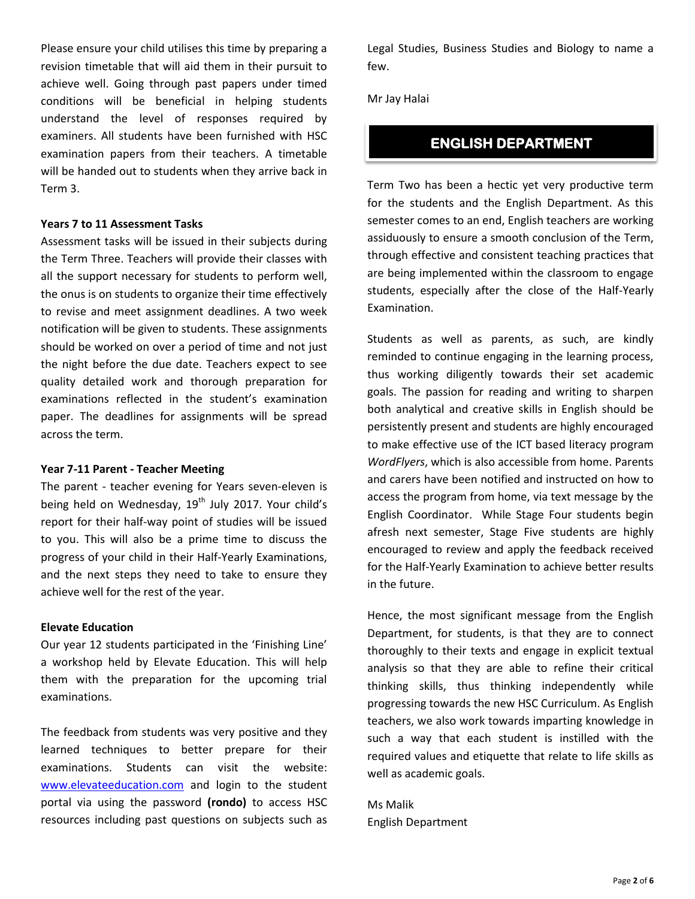Please ensure your child utilises this time by preparing a revision timetable that will aid them in their pursuit to achieve well. Going through past papers under timed conditions will be beneficial in helping students understand the level of responses required by examiners. All students have been furnished with HSC examination papers from their teachers. A timetable will be handed out to students when they arrive back in Term 3.

#### **Years 7 to 11 Assessment Tasks**

Assessment tasks will be issued in their subjects during the Term Three. Teachers will provide their classes with all the support necessary for students to perform well, the onus is on students to organize their time effectively to revise and meet assignment deadlines. A two week notification will be given to students. These assignments should be worked on over a period of time and not just the night before the due date. Teachers expect to see quality detailed work and thorough preparation for examinations reflected in the student's examination paper. The deadlines for assignments will be spread across the term.

#### **Year 7-11 Parent - Teacher Meeting**

The parent - teacher evening for Years seven-eleven is being held on Wednesday, 19<sup>th</sup> July 2017. Your child's report for their half-way point of studies will be issued to you. This will also be a prime time to discuss the progress of your child in their Half-Yearly Examinations, and the next steps they need to take to ensure they achieve well for the rest of the year.

#### **Elevate Education**

Our year 12 students participated in the 'Finishing Line' a workshop held by Elevate Education. This will help them with the preparation for the upcoming trial examinations.

The feedback from students was very positive and they learned techniques to better prepare for their examinations. Students can visit the website: [www.elevateeducation.com](http://www.elevateeducation.com/) and login to the student portal via using the password **(rondo)** to access HSC resources including past questions on subjects such as Legal Studies, Business Studies and Biology to name a few.

Mr Jay Halai

# **ENGLISH DEPARTMENT**

Term Two has been a hectic yet very productive term for the students and the English Department. As this semester comes to an end, English teachers are working assiduously to ensure a smooth conclusion of the Term, through effective and consistent teaching practices that are being implemented within the classroom to engage students, especially after the close of the Half-Yearly Examination.

Students as well as parents, as such, are kindly reminded to continue engaging in the learning process, thus working diligently towards their set academic goals. The passion for reading and writing to sharpen both analytical and creative skills in English should be persistently present and students are highly encouraged to make effective use of the ICT based literacy program *WordFlyers*, which is also accessible from home. Parents and carers have been notified and instructed on how to access the program from home, via text message by the English Coordinator. While Stage Four students begin afresh next semester, Stage Five students are highly encouraged to review and apply the feedback received for the Half-Yearly Examination to achieve better results in the future.

Hence, the most significant message from the English Department, for students, is that they are to connect thoroughly to their texts and engage in explicit textual analysis so that they are able to refine their critical thinking skills, thus thinking independently while progressing towards the new HSC Curriculum. As English teachers, we also work towards imparting knowledge in such a way that each student is instilled with the required values and etiquette that relate to life skills as well as academic goals.

Ms Malik English Department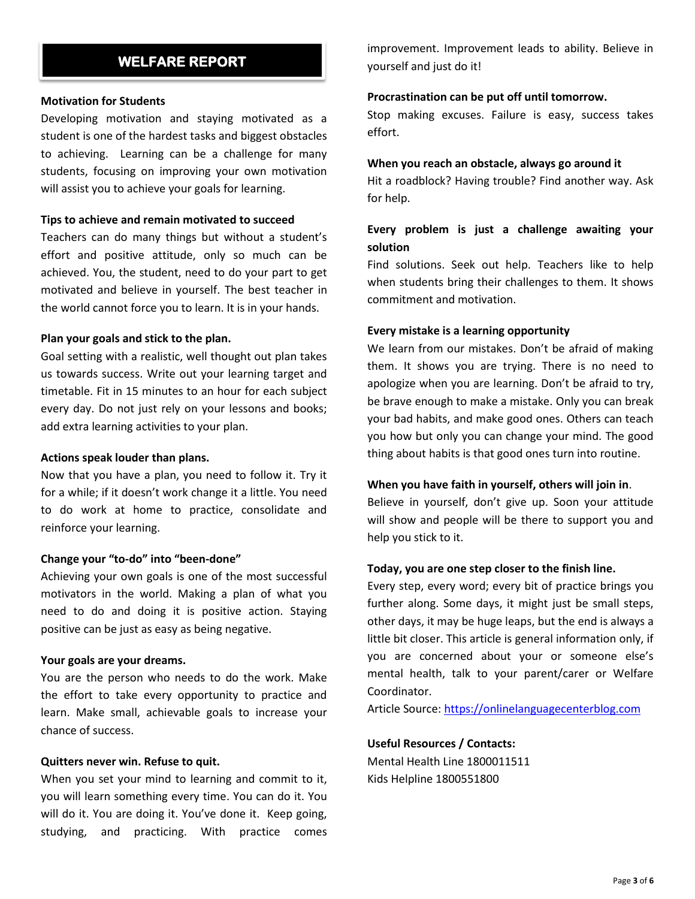# **WELFARE REPORT**

#### **Motivation for Students**

Developing motivation and staying motivated as a student is one of the hardest tasks and biggest obstacles to achieving. Learning can be a challenge for many students, focusing on improving your own motivation will assist you to achieve your goals for learning.

#### **Tips to achieve and remain motivated to succeed**

Teachers can do many things but without a student's effort and positive attitude, only so much can be achieved. You, the student, need to do your part to get motivated and believe in yourself. The best teacher in the world cannot force you to learn. It is in your hands.

#### **Plan your goals and stick to the plan.**

Goal setting with a realistic, well thought out plan takes us towards success. Write out your learning target and timetable. Fit in 15 minutes to an hour for each subject every day. Do not just rely on your lessons and books; add extra learning activities to your plan.

#### **Actions speak louder than plans.**

Now that you have a plan, you need to follow it. Try it for a while; if it doesn't work change it a little. You need to do work at home to practice, consolidate and reinforce your learning.

#### **Change your "to-do" into "been-done"**

Achieving your own goals is one of the most successful motivators in the world. Making a plan of what you need to do and doing it is positive action. Staying positive can be just as easy as being negative.

#### **Your goals are your dreams.**

You are the person who needs to do the work. Make the effort to take every opportunity to practice and learn. Make small, achievable goals to increase your chance of success.

#### **Quitters never win. Refuse to quit.**

When you set your mind to learning and commit to it, you will learn something every time. You can do it. You will do it. You are doing it. You've done it. Keep going, studying, and practicing. With practice comes improvement. Improvement leads to ability. Believe in yourself and just do it!

#### **Procrastination can be put off until tomorrow.**

Stop making excuses. Failure is easy, success takes effort.

#### **When you reach an obstacle, always go around it**

Hit a roadblock? Having trouble? Find another way. Ask for help.

### **Every problem is just a challenge awaiting your solution**

Find solutions. Seek out help. Teachers like to help when students bring their challenges to them. It shows commitment and motivation.

#### **Every mistake is a learning opportunity**

We learn from our mistakes. Don't be afraid of making them. It shows you are trying. There is no need to apologize when you are learning. Don't be afraid to try, be brave enough to make a mistake. Only you can break your bad habits, and make good ones. Others can teach you how but only you can change your mind. The good thing about habits is that good ones turn into routine.

#### **When you have faith in yourself, others will join in**.

Believe in yourself, don't give up. Soon your attitude will show and people will be there to support you and help you stick to it.

#### **Today, you are one step closer to the finish line.**

Every step, every word; every bit of practice brings you further along. Some days, it might just be small steps, other days, it may be huge leaps, but the end is always a little bit closer. This article is general information only, if you are concerned about your or someone else's mental health, talk to your parent/carer or Welfare Coordinator.

Article Source: [https://onlinelanguagecenterblog.com](https://onlinelanguagecenterblog.com/)

#### **Useful Resources / Contacts:**

Mental Health Line 1800011511 Kids Helpline 1800551800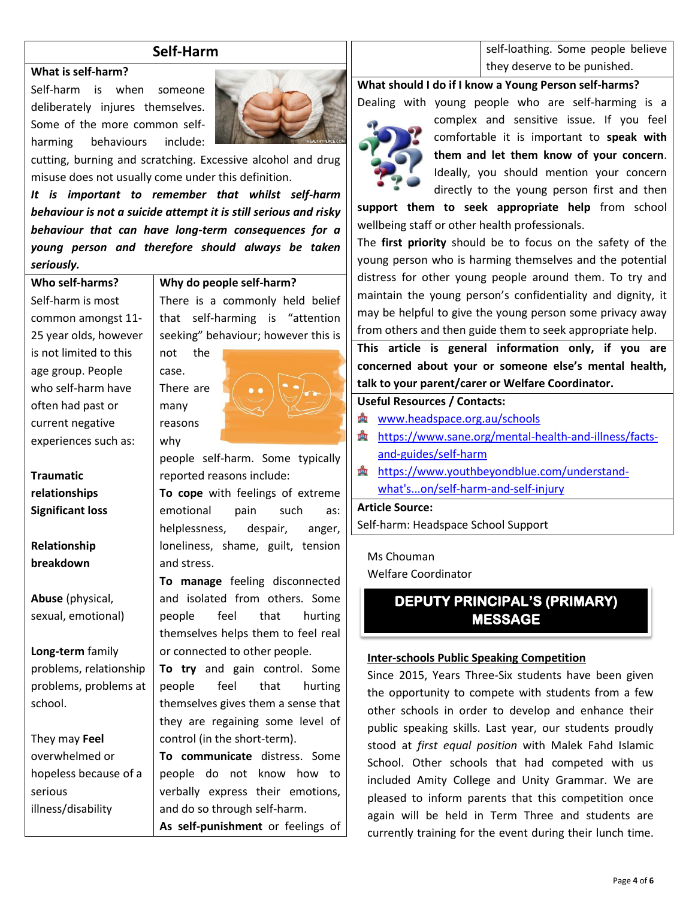# **Self-Harm**

#### **What is self-harm?**

Self-harm is when someone deliberately injures themselves. Some of the more common selfharming behaviours include:



cutting, burning and scratching. Excessive alcohol and drug misuse does not usually come under this definition.

*It is important to remember that whilst self-harm behaviour is not a suicide attempt it is still serious and risky behaviour that can have long-term consequences for a young person and therefore should always be taken seriously.*

**Who self-harms?** Self-harm is most common amongst 11- 25 year olds, however is not limited to this age group. People who self-harm have often had past or current negative experiences such as:

**Traumatic relationships Significant loss**

**Relationship breakdown**

**Abuse** (physical, sexual, emotional)

**Long-term** family problems, relationship problems, problems at school.

They may **Feel** overwhelmed or hopeless because of a serious illness/disability

**Why do people self-harm?**

There is a commonly held belief that self-harming is "attention seeking" behaviour; however this is

not the case. There are many reasons why

| e | $\bullet$<br>۰<br>$\bullet$<br>$\bullet$ $\bullet$ |
|---|----------------------------------------------------|
|   |                                                    |

people self-harm. Some typically reported reasons include:

**To cope** with feelings of extreme emotional pain such as: helplessness, despair, anger, loneliness, shame, guilt, tension and stress.

**To manage** feeling disconnected and isolated from others. Some people feel that hurting themselves helps them to feel real or connected to other people.

**To try** and gain control. Some people feel that hurting themselves gives them a sense that they are regaining some level of control (in the short-term).

**To communicate** distress. Some people do not know how to verbally express their emotions, and do so through self-harm. **As self-punishment** or feelings of self-loathing. Some people believe they deserve to be punished.

# **What should I do if I know a Young Person self-harms?**

Dealing with young people who are self-harming is a



complex and sensitive issue. If you feel comfortable it is important to **speak with them and let them know of your concern**. Ideally, you should mention your concern directly to the young person first and then

**support them to seek appropriate help** from school wellbeing staff or other health professionals.

The **first priority** should be to focus on the safety of the young person who is harming themselves and the potential distress for other young people around them. To try and maintain the young person's confidentiality and dignity, it may be helpful to give the young person some privacy away from others and then guide them to seek appropriate help.

**This article is general information only, if you are concerned about your or someone else's mental health, talk to your parent/carer or Welfare Coordinator.**

**Useful Resources / Contacts:**

- **叠** [www.headspace.org.au/schools](http://www.headspace.org.au/schools)
- [https://www.sane.org/mental-health-and-illness/facts](https://www.sane.org/mental-health-and-illness/facts-and-guides/self-harm)[and-guides/self-harm](https://www.sane.org/mental-health-and-illness/facts-and-guides/self-harm)
- [https://www.youthbeyondblue.com/understand](https://www.youthbeyondblue.com/understand-what)[what's...on/self-harm-and-self-injury](https://www.youthbeyondblue.com/understand-what)

#### **Article Source:**

Self-harm: Headspace School Support

Ms Chouman

Welfare Coordinator

# **DEPUTY PRINCIPAL'S (PRIMARY) MESSAGE**

#### **Inter-schools Public Speaking Competition**

Since 2015, Years Three-Six students have been given the opportunity to compete with students from a few other schools in order to develop and enhance their public speaking skills. Last year, our students proudly stood at *first equal position* with Malek Fahd Islamic School. Other schools that had competed with us included Amity College and Unity Grammar. We are pleased to inform parents that this competition once again will be held in Term Three and students are currently training for the event during their lunch time.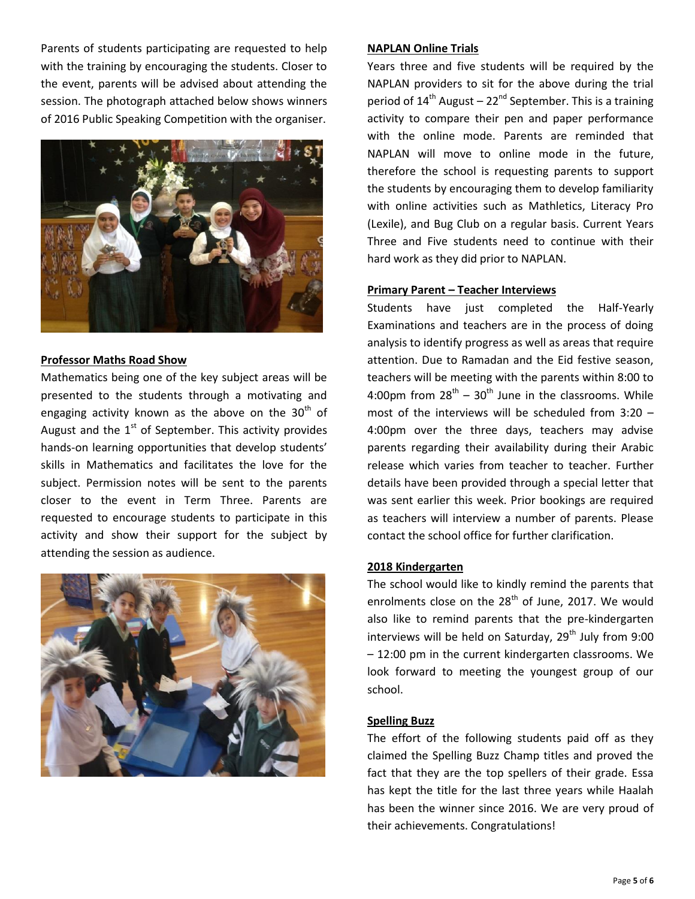Parents of students participating are requested to help with the training by encouraging the students. Closer to the event, parents will be advised about attending the session. The photograph attached below shows winners of 2016 Public Speaking Competition with the organiser.



#### **Professor Maths Road Show**

Mathematics being one of the key subject areas will be presented to the students through a motivating and engaging activity known as the above on the  $30<sup>th</sup>$  of August and the  $1<sup>st</sup>$  of September. This activity provides hands-on learning opportunities that develop students' skills in Mathematics and facilitates the love for the subject. Permission notes will be sent to the parents closer to the event in Term Three. Parents are requested to encourage students to participate in this activity and show their support for the subject by attending the session as audience.



#### **NAPLAN Online Trials**

Years three and five students will be required by the NAPLAN providers to sit for the above during the trial period of  $14<sup>th</sup>$  August –  $22<sup>nd</sup>$  September. This is a training activity to compare their pen and paper performance with the online mode. Parents are reminded that NAPLAN will move to online mode in the future, therefore the school is requesting parents to support the students by encouraging them to develop familiarity with online activities such as Mathletics, Literacy Pro (Lexile), and Bug Club on a regular basis. Current Years Three and Five students need to continue with their hard work as they did prior to NAPLAN.

#### **Primary Parent – Teacher Interviews**

Students have just completed the Half-Yearly Examinations and teachers are in the process of doing analysis to identify progress as well as areas that require attention. Due to Ramadan and the Eid festive season, teachers will be meeting with the parents within 8:00 to 4:00pm from  $28^{th}$  –  $30^{th}$  June in the classrooms. While most of the interviews will be scheduled from 3:20 – 4:00pm over the three days, teachers may advise parents regarding their availability during their Arabic release which varies from teacher to teacher. Further details have been provided through a special letter that was sent earlier this week. Prior bookings are required as teachers will interview a number of parents. Please contact the school office for further clarification.

#### **2018 Kindergarten**

The school would like to kindly remind the parents that enrolments close on the  $28<sup>th</sup>$  of June, 2017. We would also like to remind parents that the pre-kindergarten interviews will be held on Saturday,  $29<sup>th</sup>$  July from 9:00 – 12:00 pm in the current kindergarten classrooms. We look forward to meeting the youngest group of our school.

#### **Spelling Buzz**

The effort of the following students paid off as they claimed the Spelling Buzz Champ titles and proved the fact that they are the top spellers of their grade. Essa has kept the title for the last three years while Haalah has been the winner since 2016. We are very proud of their achievements. Congratulations!